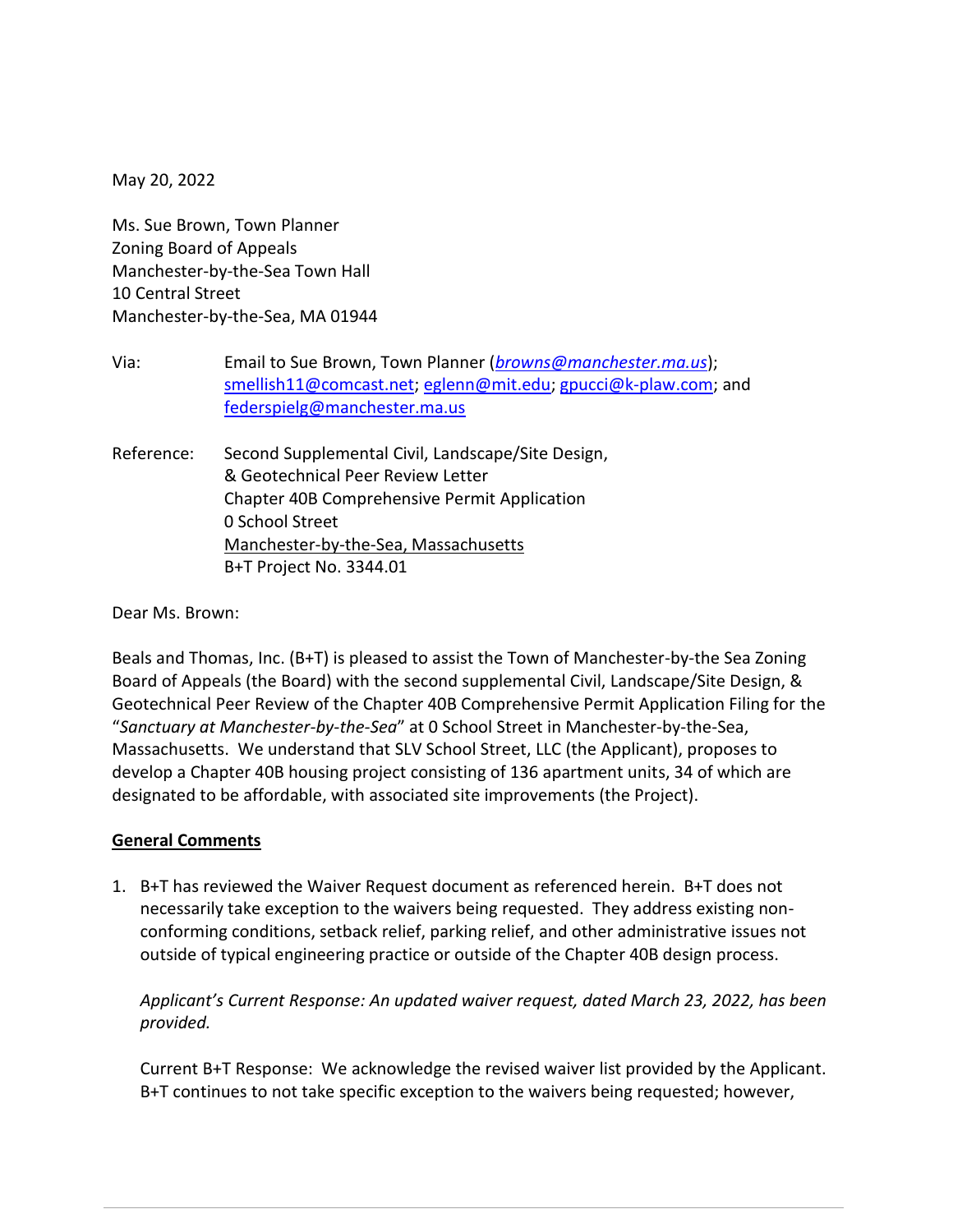May 20, 2022

Ms. Sue Brown, Town Planner Zoning Board of Appeals Manchester-by-the-Sea Town Hall 10 Central Street Manchester-by-the-Sea, MA 01944

- Via: Email to Sue Brown, Town Planner (*[browns@manchester.ma.us](mailto:browns@manchester.ma.us)*); [smellish11@comcast.net;](mailto:smellish11@comcast.net) [eglenn@mit.edu;](mailto:eglenn@mit.edu) [gpucci@k-plaw.com;](mailto:gpucci@k-plaw.com) and [federspielg@manchester.ma.us](mailto:federspielg@manchester.ma.us)
- Reference: Second Supplemental Civil, Landscape/Site Design, & Geotechnical Peer Review Letter Chapter 40B Comprehensive Permit Application 0 School Street Manchester-by-the-Sea, Massachusetts B+T Project No. 3344.01

Dear Ms. Brown:

Beals and Thomas, Inc. (B+T) is pleased to assist the Town of Manchester-by-the Sea Zoning Board of Appeals (the Board) with the second supplemental Civil, Landscape/Site Design, & Geotechnical Peer Review of the Chapter 40B Comprehensive Permit Application Filing for the "*Sanctuary at Manchester-by-the-Sea*" at 0 School Street in Manchester-by-the-Sea, Massachusetts. We understand that SLV School Street, LLC (the Applicant), proposes to develop a Chapter 40B housing project consisting of 136 apartment units, 34 of which are designated to be affordable, with associated site improvements (the Project).

### **General Comments**

1. B+T has reviewed the Waiver Request document as referenced herein. B+T does not necessarily take exception to the waivers being requested. They address existing nonconforming conditions, setback relief, parking relief, and other administrative issues not outside of typical engineering practice or outside of the Chapter 40B design process.

*Applicant's Current Response: An updated waiver request, dated March 23, 2022, has been provided.*

Current B+T Response: We acknowledge the revised waiver list provided by the Applicant. B+T continues to not take specific exception to the waivers being requested; however,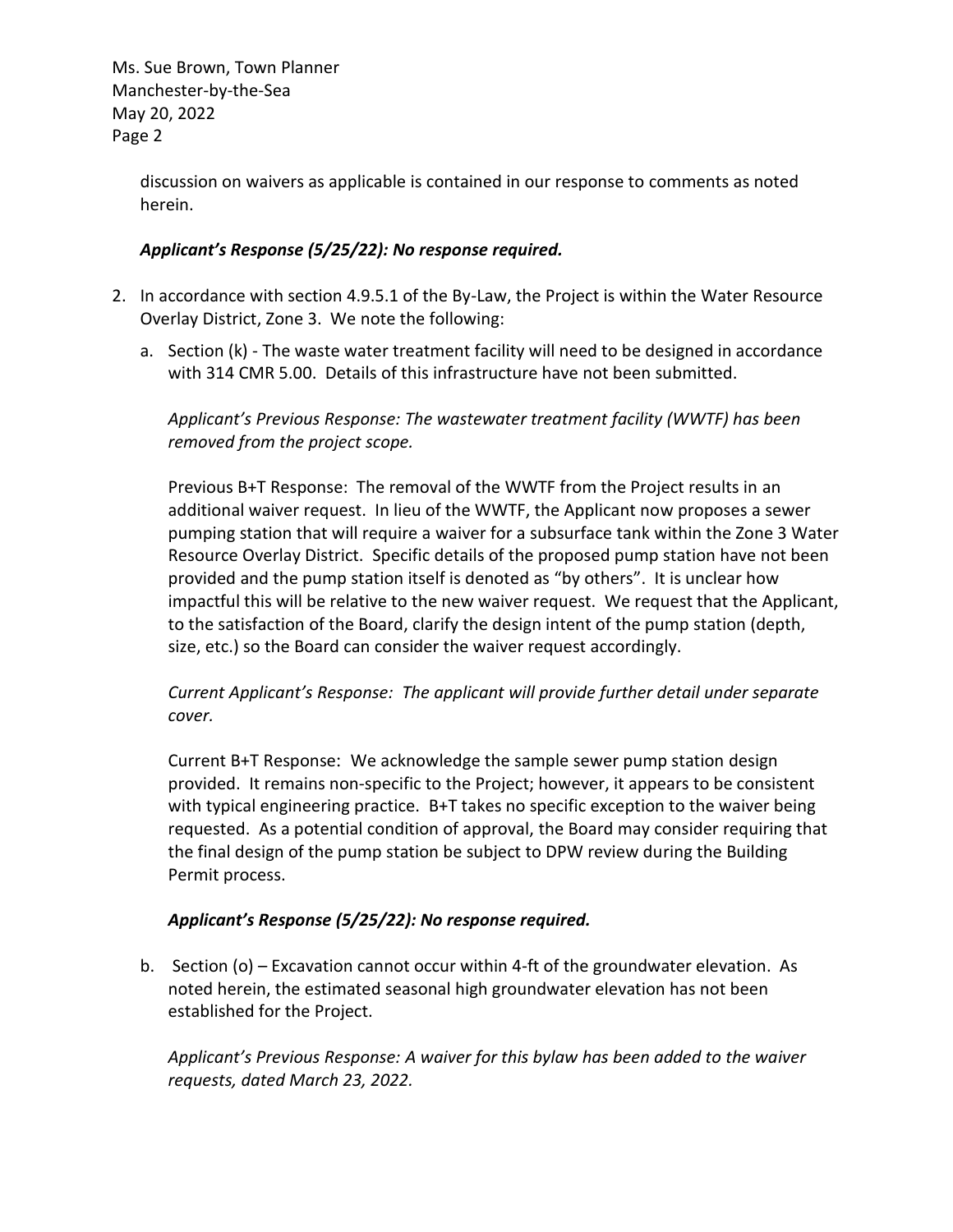> discussion on waivers as applicable is contained in our response to comments as noted herein.

### *Applicant's Response (5/25/22): No response required.*

- 2. In accordance with section 4.9.5.1 of the By-Law, the Project is within the Water Resource Overlay District, Zone 3. We note the following:
	- a. Section (k) The waste water treatment facility will need to be designed in accordance with 314 CMR 5.00. Details of this infrastructure have not been submitted.

*Applicant's Previous Response: The wastewater treatment facility (WWTF) has been removed from the project scope.*

Previous B+T Response: The removal of the WWTF from the Project results in an additional waiver request. In lieu of the WWTF, the Applicant now proposes a sewer pumping station that will require a waiver for a subsurface tank within the Zone 3 Water Resource Overlay District. Specific details of the proposed pump station have not been provided and the pump station itself is denoted as "by others". It is unclear how impactful this will be relative to the new waiver request. We request that the Applicant, to the satisfaction of the Board, clarify the design intent of the pump station (depth, size, etc.) so the Board can consider the waiver request accordingly.

## *Current Applicant's Response: The applicant will provide further detail under separate cover.*

Current B+T Response: We acknowledge the sample sewer pump station design provided. It remains non-specific to the Project; however, it appears to be consistent with typical engineering practice. B+T takes no specific exception to the waiver being requested. As a potential condition of approval, the Board may consider requiring that the final design of the pump station be subject to DPW review during the Building Permit process.

## *Applicant's Response (5/25/22): No response required.*

b. Section (o) – Excavation cannot occur within 4-ft of the groundwater elevation. As noted herein, the estimated seasonal high groundwater elevation has not been established for the Project.

*Applicant's Previous Response: A waiver for this bylaw has been added to the waiver requests, dated March 23, 2022.*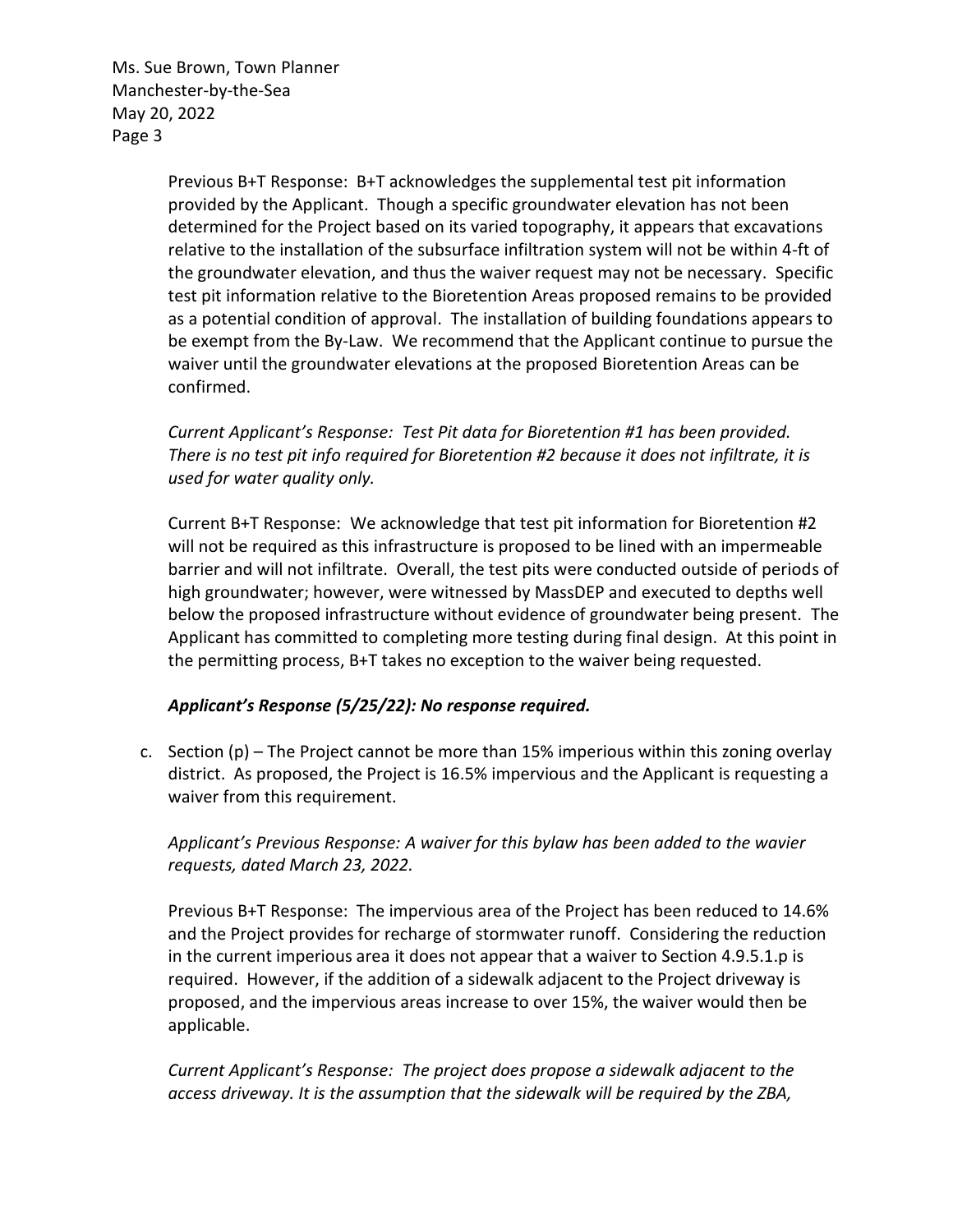> Previous B+T Response: B+T acknowledges the supplemental test pit information provided by the Applicant. Though a specific groundwater elevation has not been determined for the Project based on its varied topography, it appears that excavations relative to the installation of the subsurface infiltration system will not be within 4-ft of the groundwater elevation, and thus the waiver request may not be necessary. Specific test pit information relative to the Bioretention Areas proposed remains to be provided as a potential condition of approval. The installation of building foundations appears to be exempt from the By-Law. We recommend that the Applicant continue to pursue the waiver until the groundwater elevations at the proposed Bioretention Areas can be confirmed.

*Current Applicant's Response: Test Pit data for Bioretention #1 has been provided. There is no test pit info required for Bioretention #2 because it does not infiltrate, it is used for water quality only.*

Current B+T Response: We acknowledge that test pit information for Bioretention #2 will not be required as this infrastructure is proposed to be lined with an impermeable barrier and will not infiltrate. Overall, the test pits were conducted outside of periods of high groundwater; however, were witnessed by MassDEP and executed to depths well below the proposed infrastructure without evidence of groundwater being present. The Applicant has committed to completing more testing during final design. At this point in the permitting process, B+T takes no exception to the waiver being requested.

## *Applicant's Response (5/25/22): No response required.*

c. Section  $(p)$  – The Project cannot be more than 15% imperious within this zoning overlay district. As proposed, the Project is 16.5% impervious and the Applicant is requesting a waiver from this requirement.

*Applicant's Previous Response: A waiver for this bylaw has been added to the wavier requests, dated March 23, 2022.*

Previous B+T Response: The impervious area of the Project has been reduced to 14.6% and the Project provides for recharge of stormwater runoff. Considering the reduction in the current imperious area it does not appear that a waiver to Section 4.9.5.1.p is required. However, if the addition of a sidewalk adjacent to the Project driveway is proposed, and the impervious areas increase to over 15%, the waiver would then be applicable.

*Current Applicant's Response: The project does propose a sidewalk adjacent to the access driveway. It is the assumption that the sidewalk will be required by the ZBA,*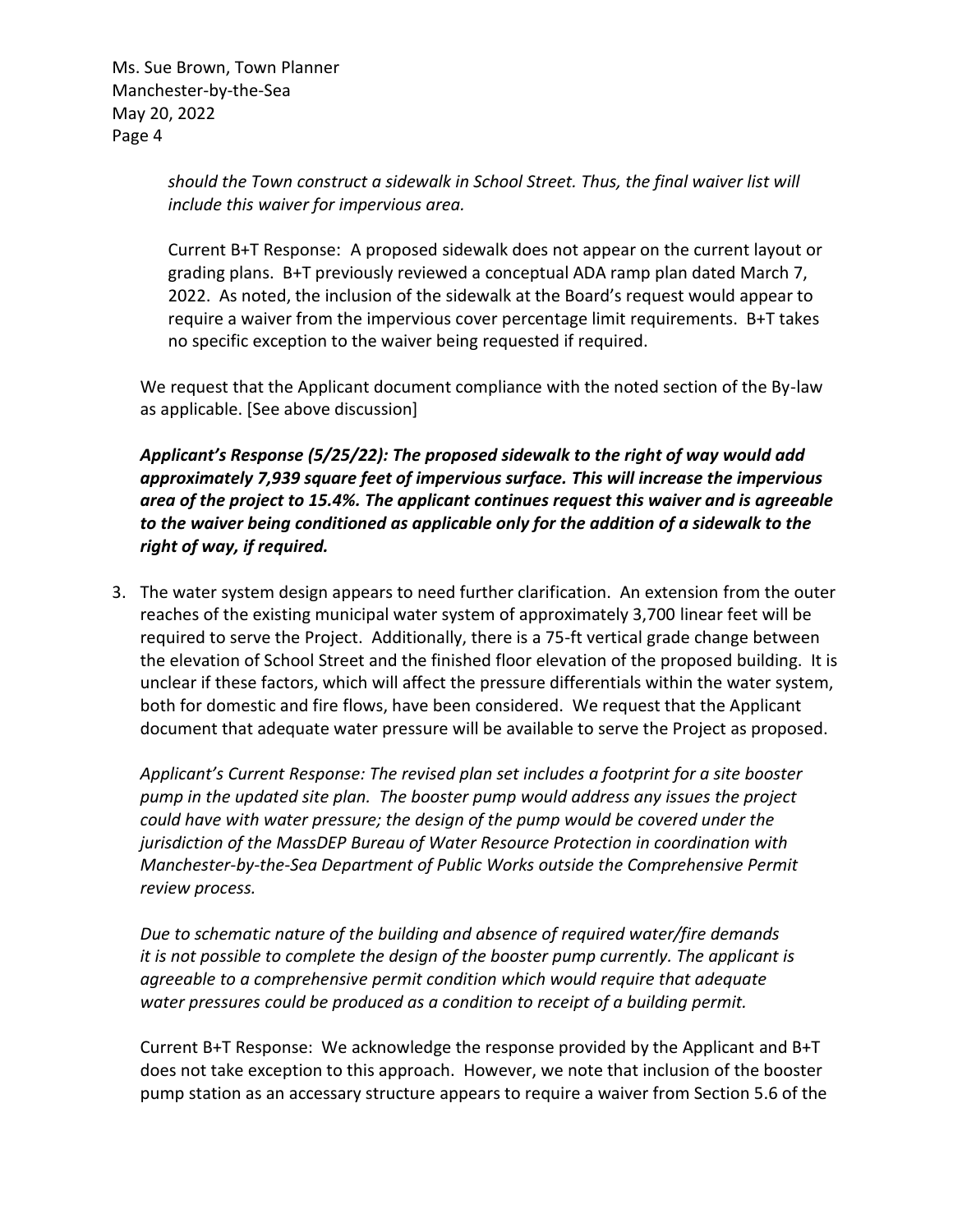> *should the Town construct a sidewalk in School Street. Thus, the final waiver list will include this waiver for impervious area.*

Current B+T Response: A proposed sidewalk does not appear on the current layout or grading plans. B+T previously reviewed a conceptual ADA ramp plan dated March 7, 2022. As noted, the inclusion of the sidewalk at the Board's request would appear to require a waiver from the impervious cover percentage limit requirements. B+T takes no specific exception to the waiver being requested if required.

We request that the Applicant document compliance with the noted section of the By-law as applicable. [See above discussion]

*Applicant's Response (5/25/22): The proposed sidewalk to the right of way would add approximately 7,939 square feet of impervious surface. This will increase the impervious area of the project to 15.4%. The applicant continues request this waiver and is agreeable to the waiver being conditioned as applicable only for the addition of a sidewalk to the right of way, if required.* 

3. The water system design appears to need further clarification. An extension from the outer reaches of the existing municipal water system of approximately 3,700 linear feet will be required to serve the Project. Additionally, there is a 75-ft vertical grade change between the elevation of School Street and the finished floor elevation of the proposed building. It is unclear if these factors, which will affect the pressure differentials within the water system, both for domestic and fire flows, have been considered. We request that the Applicant document that adequate water pressure will be available to serve the Project as proposed.

*Applicant's Current Response: The revised plan set includes a footprint for a site booster pump in the updated site plan. The booster pump would address any issues the project could have with water pressure; the design of the pump would be covered under the jurisdiction of the MassDEP Bureau of Water Resource Protection in coordination with Manchester-by-the-Sea Department of Public Works outside the Comprehensive Permit review process.*

*Due to schematic nature of the building and absence of required water/fire demands it is not possible to complete the design of the booster pump currently. The applicant is agreeable to a comprehensive permit condition which would require that adequate water pressures could be produced as a condition to receipt of a building permit.*

Current B+T Response: We acknowledge the response provided by the Applicant and B+T does not take exception to this approach. However, we note that inclusion of the booster pump station as an accessary structure appears to require a waiver from Section 5.6 of the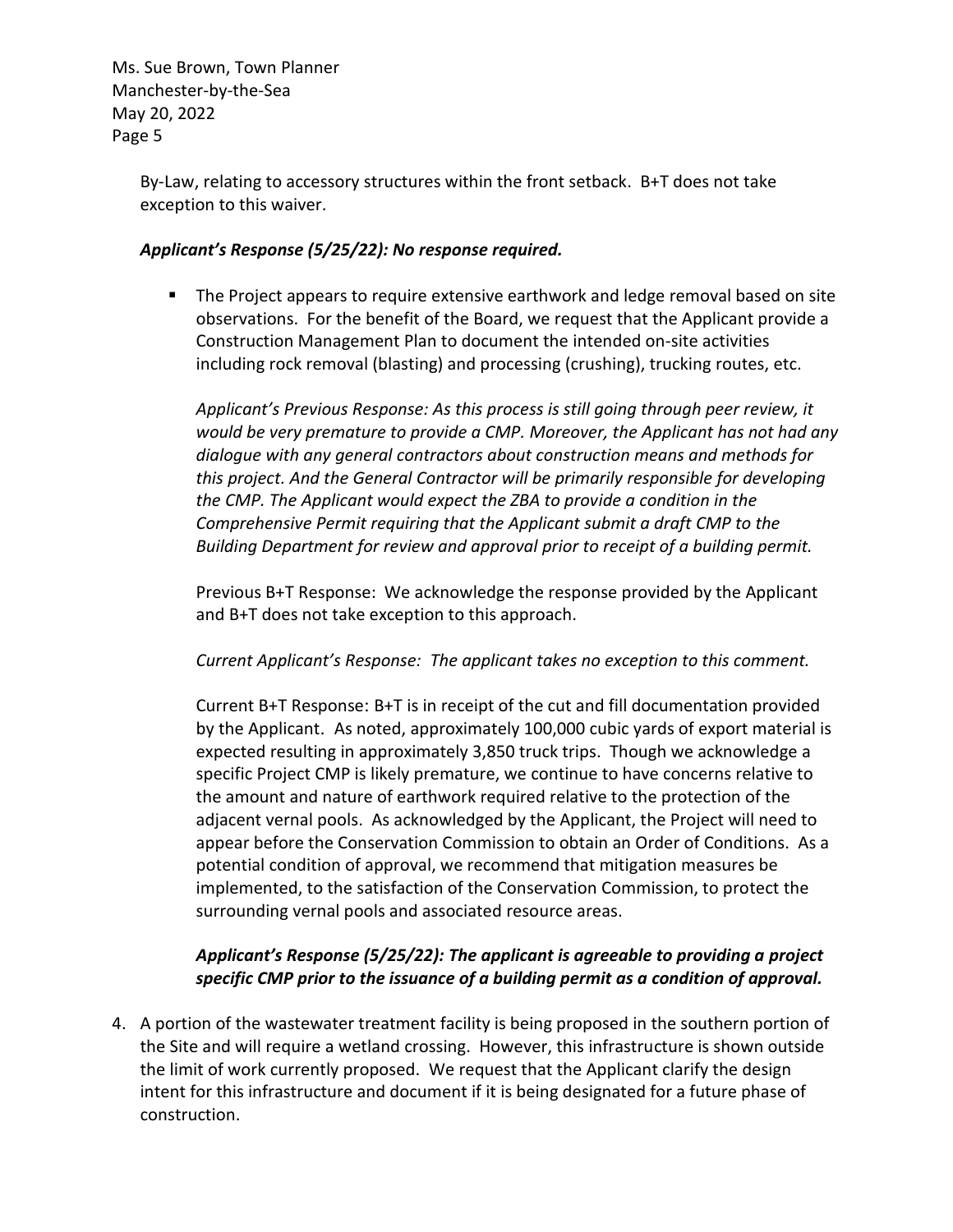> By-Law, relating to accessory structures within the front setback. B+T does not take exception to this waiver.

### *Applicant's Response (5/25/22): No response required.*

■ The Project appears to require extensive earthwork and ledge removal based on site observations. For the benefit of the Board, we request that the Applicant provide a Construction Management Plan to document the intended on-site activities including rock removal (blasting) and processing (crushing), trucking routes, etc.

*Applicant's Previous Response: As this process is still going through peer review, it would be very premature to provide a CMP. Moreover, the Applicant has not had any dialogue with any general contractors about construction means and methods for this project. And the General Contractor will be primarily responsible for developing the CMP. The Applicant would expect the ZBA to provide a condition in the Comprehensive Permit requiring that the Applicant submit a draft CMP to the Building Department for review and approval prior to receipt of a building permit.*

Previous B+T Response: We acknowledge the response provided by the Applicant and B+T does not take exception to this approach.

### *Current Applicant's Response: The applicant takes no exception to this comment.*

Current B+T Response: B+T is in receipt of the cut and fill documentation provided by the Applicant. As noted, approximately 100,000 cubic yards of export material is expected resulting in approximately 3,850 truck trips. Though we acknowledge a specific Project CMP is likely premature, we continue to have concerns relative to the amount and nature of earthwork required relative to the protection of the adjacent vernal pools. As acknowledged by the Applicant, the Project will need to appear before the Conservation Commission to obtain an Order of Conditions. As a potential condition of approval, we recommend that mitigation measures be implemented, to the satisfaction of the Conservation Commission, to protect the surrounding vernal pools and associated resource areas.

## *Applicant's Response (5/25/22): The applicant is agreeable to providing a project specific CMP prior to the issuance of a building permit as a condition of approval.*

4. A portion of the wastewater treatment facility is being proposed in the southern portion of the Site and will require a wetland crossing. However, this infrastructure is shown outside the limit of work currently proposed. We request that the Applicant clarify the design intent for this infrastructure and document if it is being designated for a future phase of construction.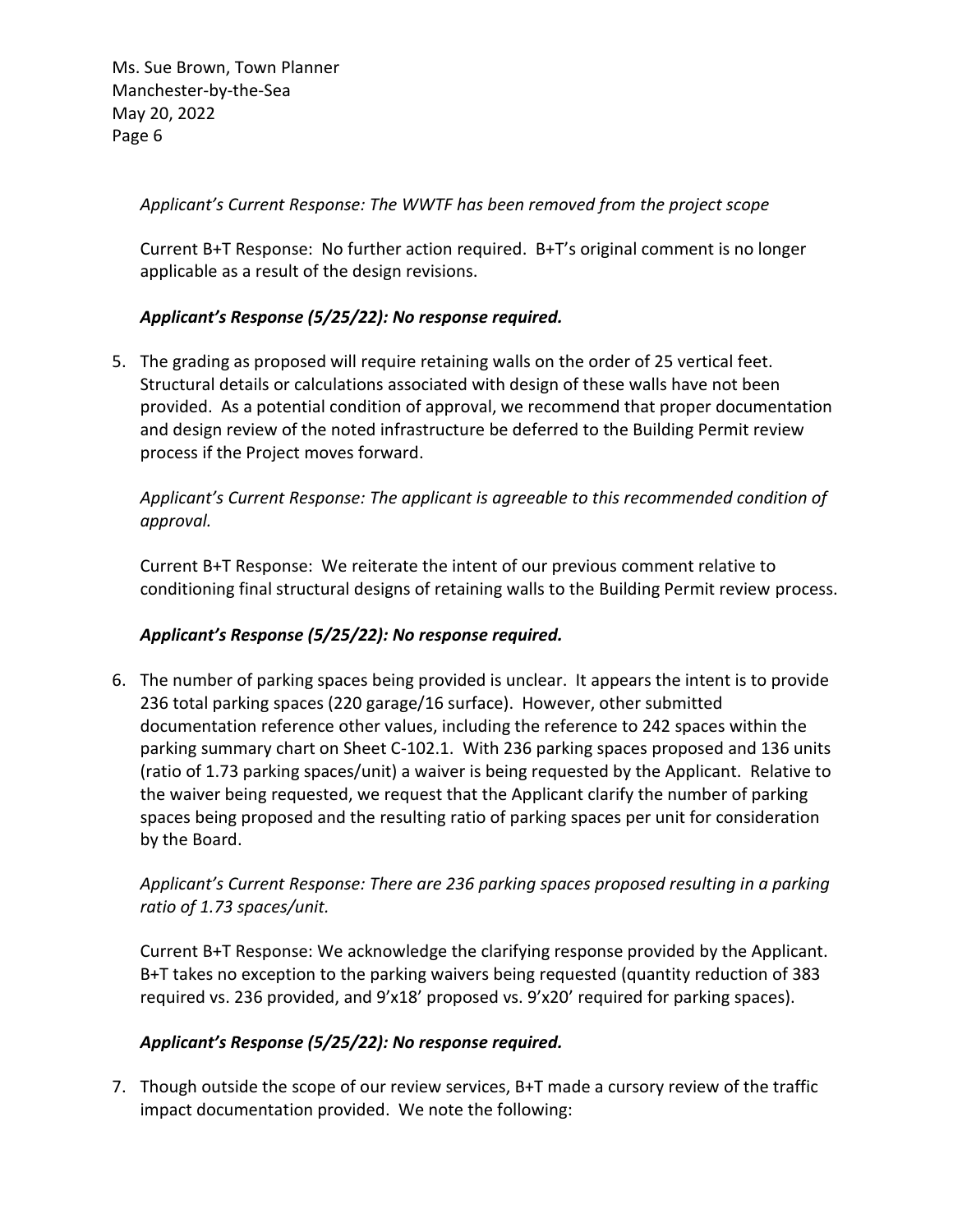*Applicant's Current Response: The WWTF has been removed from the project scope*

Current B+T Response: No further action required. B+T's original comment is no longer applicable as a result of the design revisions.

# *Applicant's Response (5/25/22): No response required.*

5. The grading as proposed will require retaining walls on the order of 25 vertical feet. Structural details or calculations associated with design of these walls have not been provided. As a potential condition of approval, we recommend that proper documentation and design review of the noted infrastructure be deferred to the Building Permit review process if the Project moves forward.

# *Applicant's Current Response: The applicant is agreeable to this recommended condition of approval.*

Current B+T Response: We reiterate the intent of our previous comment relative to conditioning final structural designs of retaining walls to the Building Permit review process.

# *Applicant's Response (5/25/22): No response required.*

6. The number of parking spaces being provided is unclear. It appears the intent is to provide 236 total parking spaces (220 garage/16 surface). However, other submitted documentation reference other values, including the reference to 242 spaces within the parking summary chart on Sheet C-102.1. With 236 parking spaces proposed and 136 units (ratio of 1.73 parking spaces/unit) a waiver is being requested by the Applicant. Relative to the waiver being requested, we request that the Applicant clarify the number of parking spaces being proposed and the resulting ratio of parking spaces per unit for consideration by the Board.

# *Applicant's Current Response: There are 236 parking spaces proposed resulting in a parking ratio of 1.73 spaces/unit.*

Current B+T Response: We acknowledge the clarifying response provided by the Applicant. B+T takes no exception to the parking waivers being requested (quantity reduction of 383 required vs. 236 provided, and 9'x18' proposed vs. 9'x20' required for parking spaces).

## *Applicant's Response (5/25/22): No response required.*

7. Though outside the scope of our review services, B+T made a cursory review of the traffic impact documentation provided. We note the following: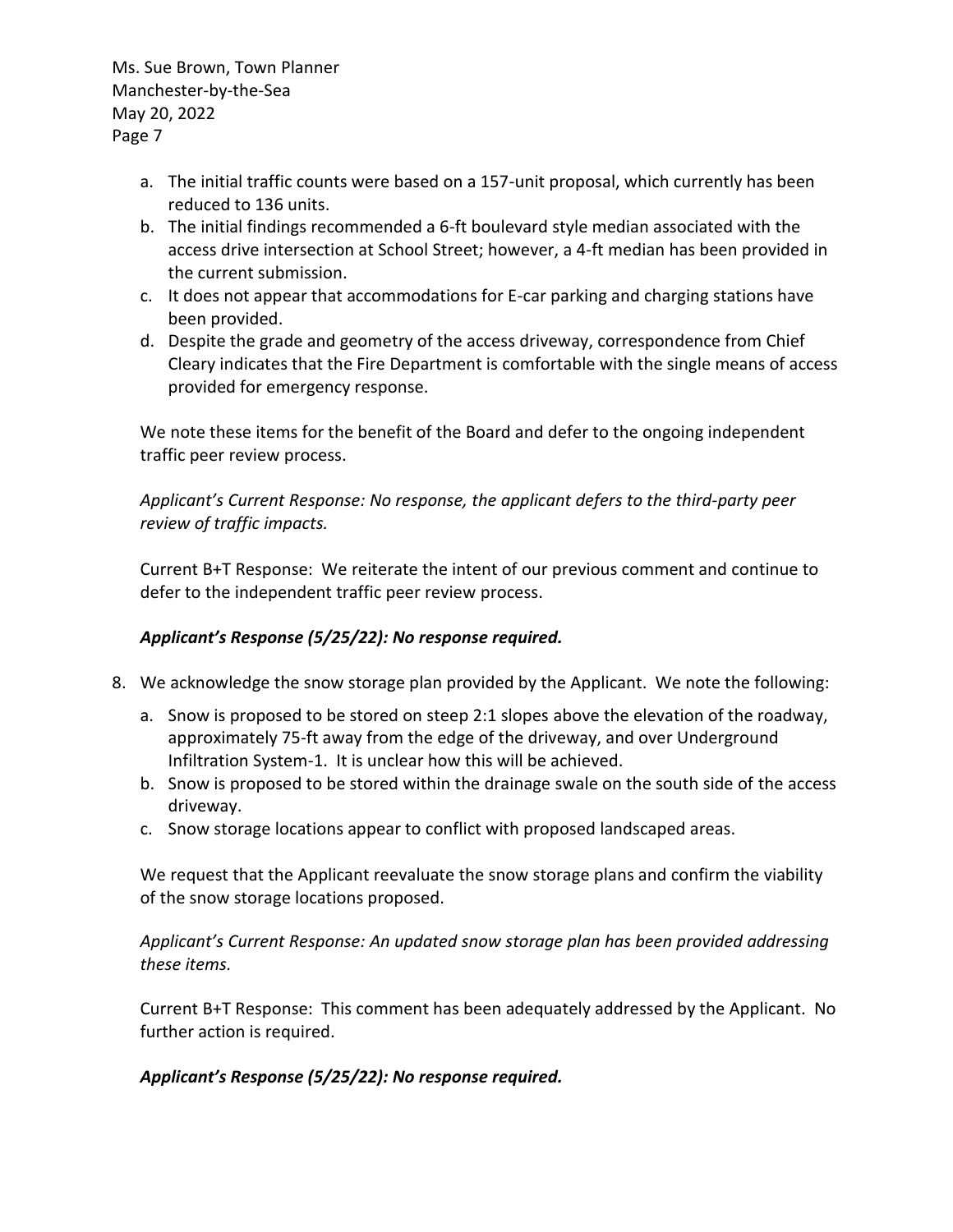- a. The initial traffic counts were based on a 157-unit proposal, which currently has been reduced to 136 units.
- b. The initial findings recommended a 6-ft boulevard style median associated with the access drive intersection at School Street; however, a 4-ft median has been provided in the current submission.
- c. It does not appear that accommodations for E-car parking and charging stations have been provided.
- d. Despite the grade and geometry of the access driveway, correspondence from Chief Cleary indicates that the Fire Department is comfortable with the single means of access provided for emergency response.

We note these items for the benefit of the Board and defer to the ongoing independent traffic peer review process.

*Applicant's Current Response: No response, the applicant defers to the third-party peer review of traffic impacts.*

Current B+T Response: We reiterate the intent of our previous comment and continue to defer to the independent traffic peer review process.

# *Applicant's Response (5/25/22): No response required.*

- 8. We acknowledge the snow storage plan provided by the Applicant. We note the following:
	- a. Snow is proposed to be stored on steep 2:1 slopes above the elevation of the roadway, approximately 75-ft away from the edge of the driveway, and over Underground Infiltration System-1. It is unclear how this will be achieved.
	- b. Snow is proposed to be stored within the drainage swale on the south side of the access driveway.
	- c. Snow storage locations appear to conflict with proposed landscaped areas.

We request that the Applicant reevaluate the snow storage plans and confirm the viability of the snow storage locations proposed.

*Applicant's Current Response: An updated snow storage plan has been provided addressing these items.*

Current B+T Response: This comment has been adequately addressed by the Applicant. No further action is required.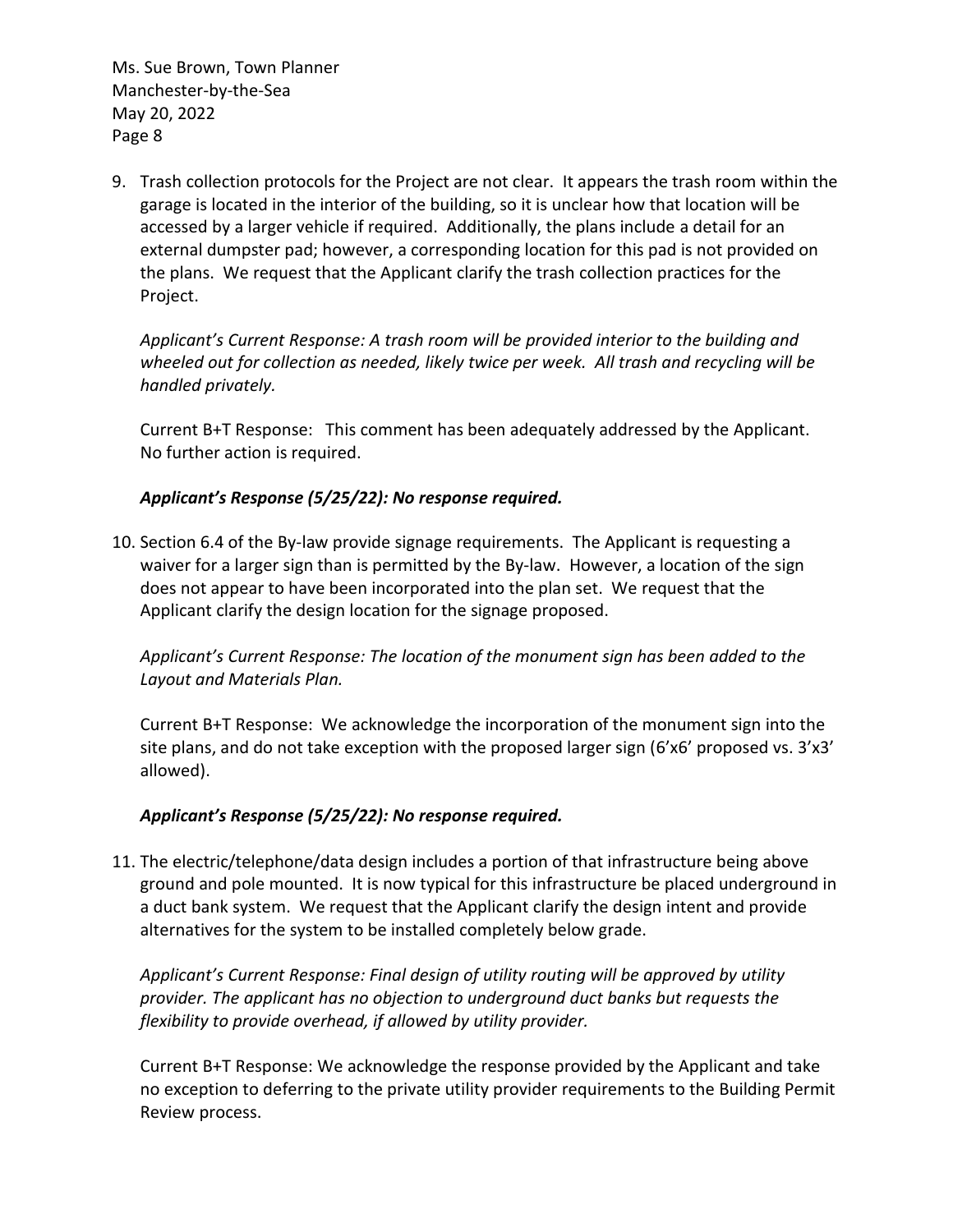9. Trash collection protocols for the Project are not clear. It appears the trash room within the garage is located in the interior of the building, so it is unclear how that location will be accessed by a larger vehicle if required. Additionally, the plans include a detail for an external dumpster pad; however, a corresponding location for this pad is not provided on the plans. We request that the Applicant clarify the trash collection practices for the Project.

*Applicant's Current Response: A trash room will be provided interior to the building and wheeled out for collection as needed, likely twice per week. All trash and recycling will be handled privately.*

Current B+T Response: This comment has been adequately addressed by the Applicant. No further action is required.

## *Applicant's Response (5/25/22): No response required.*

10. Section 6.4 of the By-law provide signage requirements. The Applicant is requesting a waiver for a larger sign than is permitted by the By-law. However, a location of the sign does not appear to have been incorporated into the plan set. We request that the Applicant clarify the design location for the signage proposed.

*Applicant's Current Response: The location of the monument sign has been added to the Layout and Materials Plan.*

Current B+T Response: We acknowledge the incorporation of the monument sign into the site plans, and do not take exception with the proposed larger sign (6'x6' proposed vs.  $3'x3'$ ) allowed).

# *Applicant's Response (5/25/22): No response required.*

11. The electric/telephone/data design includes a portion of that infrastructure being above ground and pole mounted. It is now typical for this infrastructure be placed underground in a duct bank system. We request that the Applicant clarify the design intent and provide alternatives for the system to be installed completely below grade.

*Applicant's Current Response: Final design of utility routing will be approved by utility provider. The applicant has no objection to underground duct banks but requests the flexibility to provide overhead, if allowed by utility provider.*

Current B+T Response: We acknowledge the response provided by the Applicant and take no exception to deferring to the private utility provider requirements to the Building Permit Review process.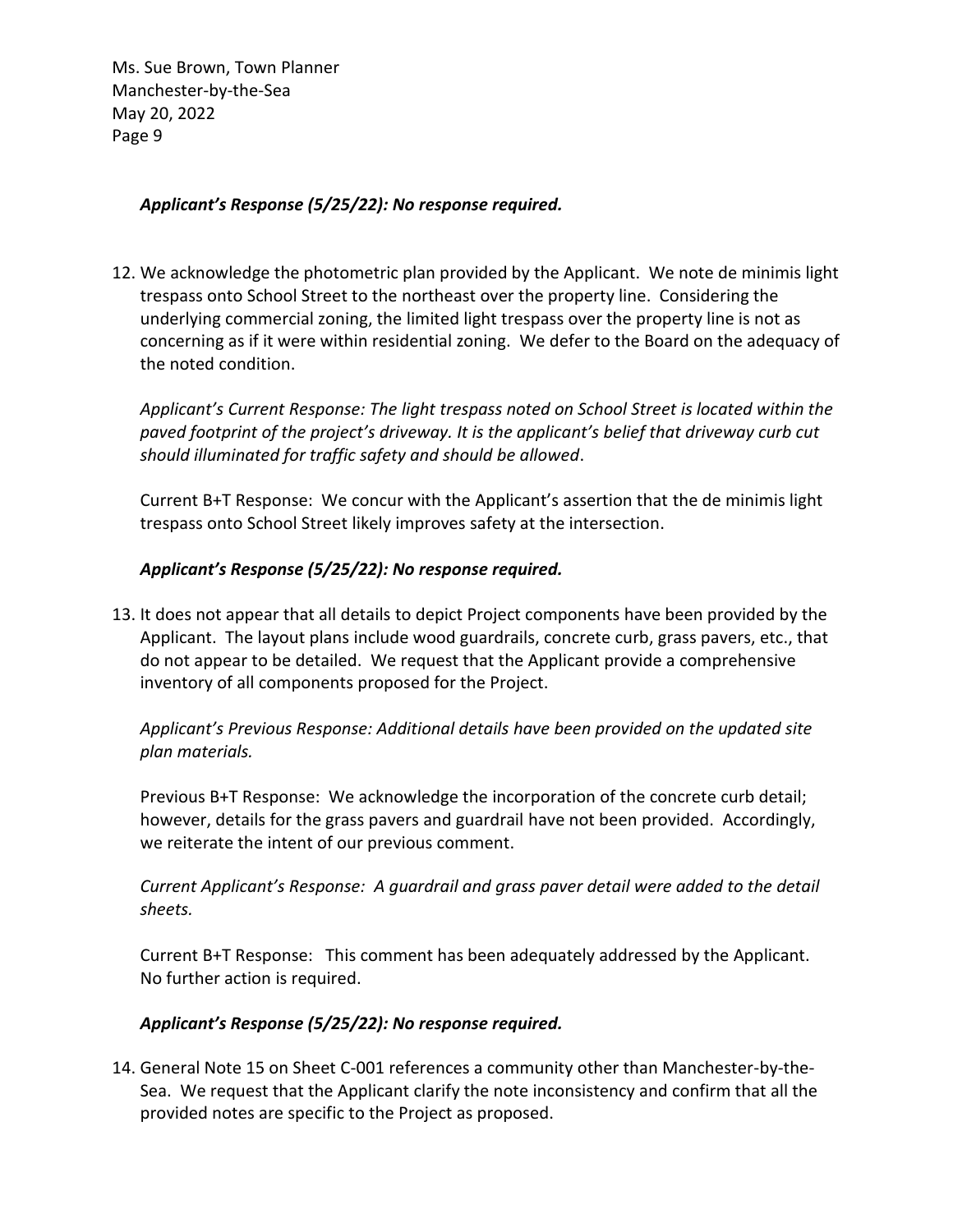### *Applicant's Response (5/25/22): No response required.*

12. We acknowledge the photometric plan provided by the Applicant. We note de minimis light trespass onto School Street to the northeast over the property line. Considering the underlying commercial zoning, the limited light trespass over the property line is not as concerning as if it were within residential zoning. We defer to the Board on the adequacy of the noted condition.

*Applicant's Current Response: The light trespass noted on School Street is located within the paved footprint of the project's driveway. It is the applicant's belief that driveway curb cut should illuminated for traffic safety and should be allowed*.

Current B+T Response: We concur with the Applicant's assertion that the de minimis light trespass onto School Street likely improves safety at the intersection.

## *Applicant's Response (5/25/22): No response required.*

13. It does not appear that all details to depict Project components have been provided by the Applicant. The layout plans include wood guardrails, concrete curb, grass pavers, etc., that do not appear to be detailed. We request that the Applicant provide a comprehensive inventory of all components proposed for the Project.

*Applicant's Previous Response: Additional details have been provided on the updated site plan materials.*

Previous B+T Response: We acknowledge the incorporation of the concrete curb detail; however, details for the grass pavers and guardrail have not been provided. Accordingly, we reiterate the intent of our previous comment.

*Current Applicant's Response: A guardrail and grass paver detail were added to the detail sheets.*

Current B+T Response: This comment has been adequately addressed by the Applicant. No further action is required.

## *Applicant's Response (5/25/22): No response required.*

14. General Note 15 on Sheet C-001 references a community other than Manchester-by-the-Sea. We request that the Applicant clarify the note inconsistency and confirm that all the provided notes are specific to the Project as proposed.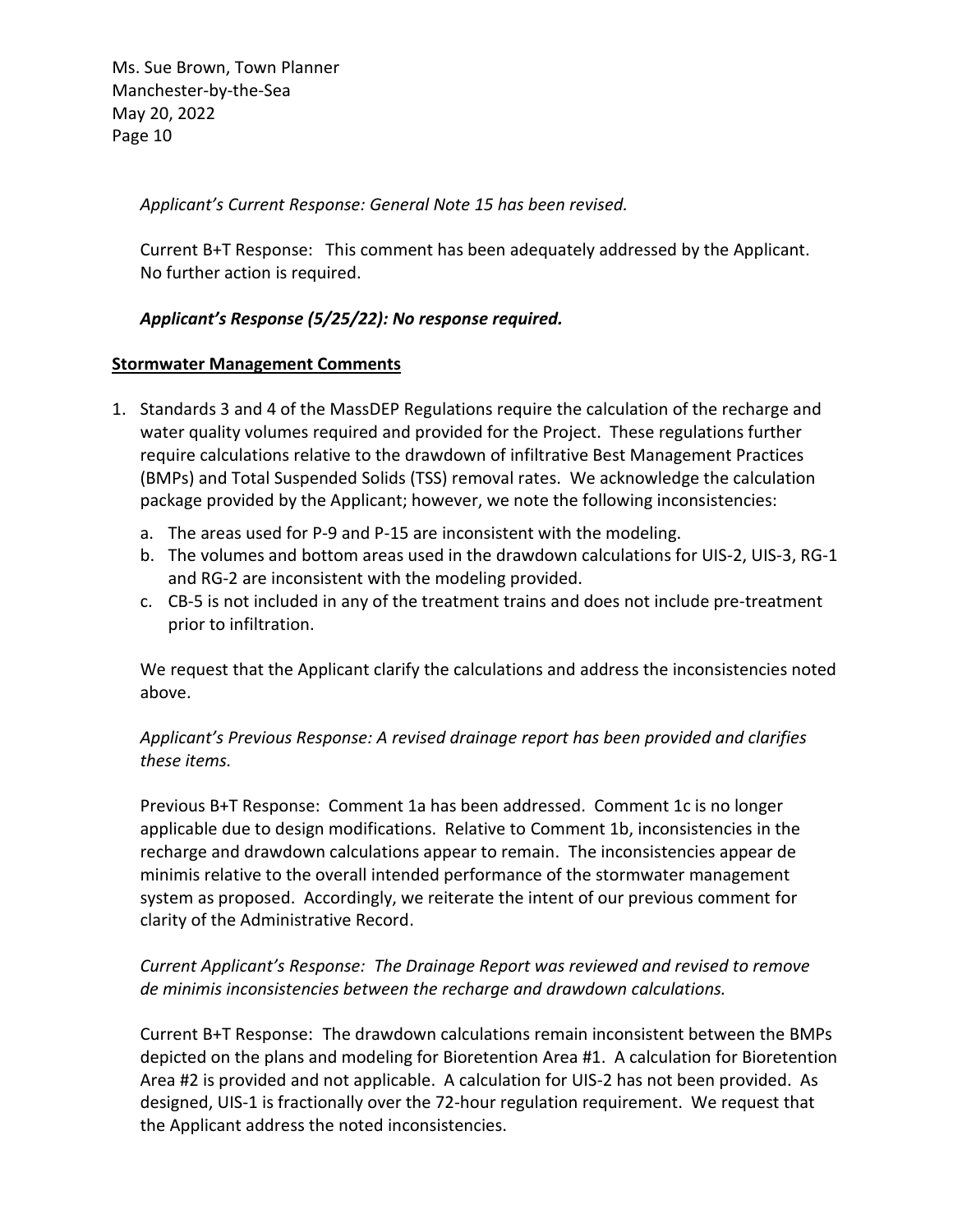*Applicant's Current Response: General Note 15 has been revised.*

Current B+T Response: This comment has been adequately addressed by the Applicant. No further action is required.

### *Applicant's Response (5/25/22): No response required.*

#### **Stormwater Management Comments**

- 1. Standards 3 and 4 of the MassDEP Regulations require the calculation of the recharge and water quality volumes required and provided for the Project. These regulations further require calculations relative to the drawdown of infiltrative Best Management Practices (BMPs) and Total Suspended Solids (TSS) removal rates. We acknowledge the calculation package provided by the Applicant; however, we note the following inconsistencies:
	- a. The areas used for P-9 and P-15 are inconsistent with the modeling.
	- b. The volumes and bottom areas used in the drawdown calculations for UIS-2, UIS-3, RG-1 and RG-2 are inconsistent with the modeling provided.
	- c. CB-5 is not included in any of the treatment trains and does not include pre-treatment prior to infiltration.

We request that the Applicant clarify the calculations and address the inconsistencies noted above.

*Applicant's Previous Response: A revised drainage report has been provided and clarifies these items.*

Previous B+T Response: Comment 1a has been addressed. Comment 1c is no longer applicable due to design modifications. Relative to Comment 1b, inconsistencies in the recharge and drawdown calculations appear to remain. The inconsistencies appear de minimis relative to the overall intended performance of the stormwater management system as proposed. Accordingly, we reiterate the intent of our previous comment for clarity of the Administrative Record.

## *Current Applicant's Response: The Drainage Report was reviewed and revised to remove de minimis inconsistencies between the recharge and drawdown calculations.*

Current B+T Response: The drawdown calculations remain inconsistent between the BMPs depicted on the plans and modeling for Bioretention Area #1. A calculation for Bioretention Area #2 is provided and not applicable. A calculation for UIS-2 has not been provided. As designed, UIS-1 is fractionally over the 72-hour regulation requirement. We request that the Applicant address the noted inconsistencies.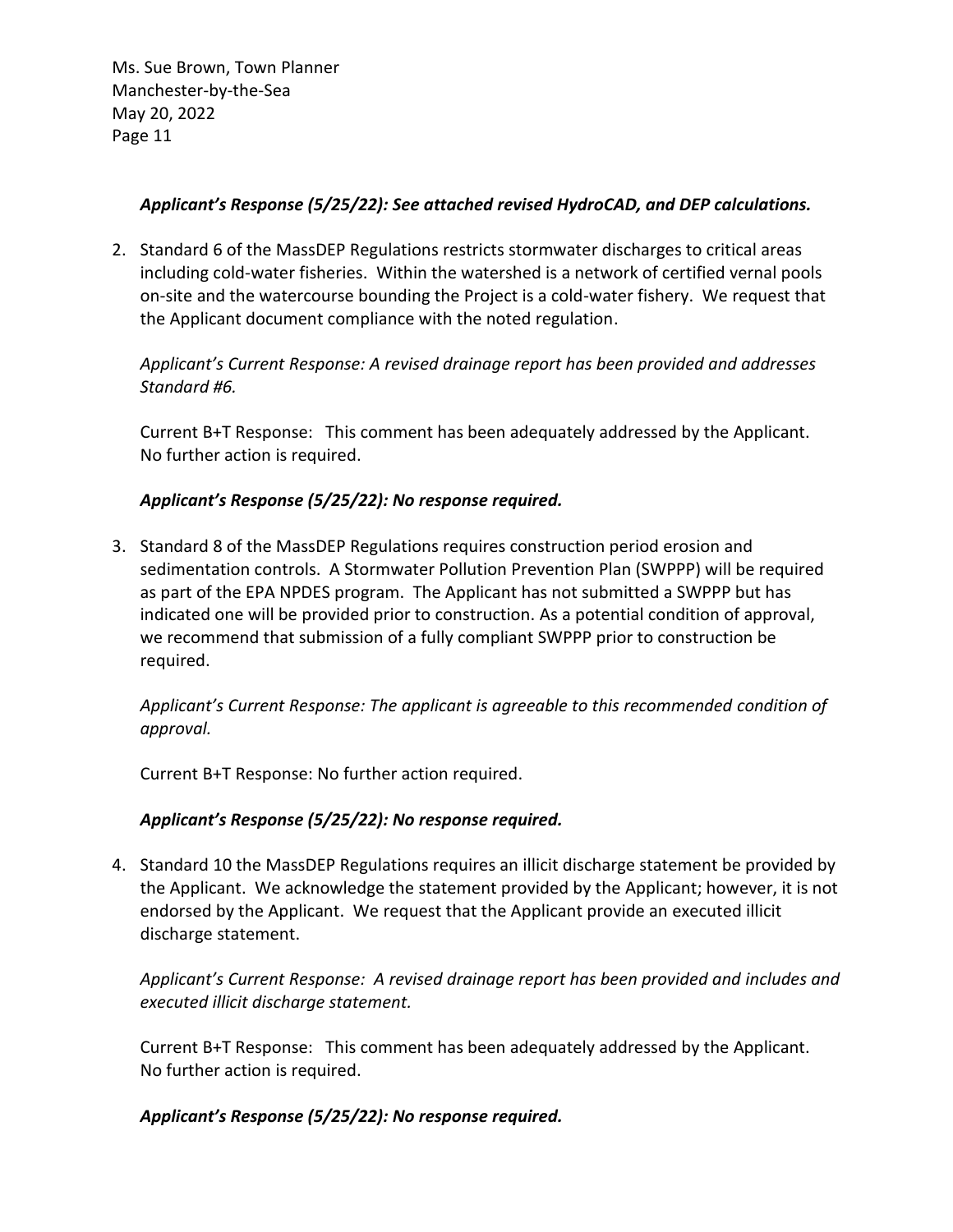### *Applicant's Response (5/25/22): See attached revised HydroCAD, and DEP calculations.*

2. Standard 6 of the MassDEP Regulations restricts stormwater discharges to critical areas including cold-water fisheries. Within the watershed is a network of certified vernal pools on-site and the watercourse bounding the Project is a cold-water fishery. We request that the Applicant document compliance with the noted regulation.

*Applicant's Current Response: A revised drainage report has been provided and addresses Standard #6.* 

Current B+T Response: This comment has been adequately addressed by the Applicant. No further action is required.

## *Applicant's Response (5/25/22): No response required.*

3. Standard 8 of the MassDEP Regulations requires construction period erosion and sedimentation controls. A Stormwater Pollution Prevention Plan (SWPPP) will be required as part of the EPA NPDES program. The Applicant has not submitted a SWPPP but has indicated one will be provided prior to construction. As a potential condition of approval, we recommend that submission of a fully compliant SWPPP prior to construction be required.

*Applicant's Current Response: The applicant is agreeable to this recommended condition of approval.*

Current B+T Response: No further action required.

## *Applicant's Response (5/25/22): No response required.*

4. Standard 10 the MassDEP Regulations requires an illicit discharge statement be provided by the Applicant. We acknowledge the statement provided by the Applicant; however, it is not endorsed by the Applicant. We request that the Applicant provide an executed illicit discharge statement.

*Applicant's Current Response: A revised drainage report has been provided and includes and executed illicit discharge statement.*

Current B+T Response: This comment has been adequately addressed by the Applicant. No further action is required.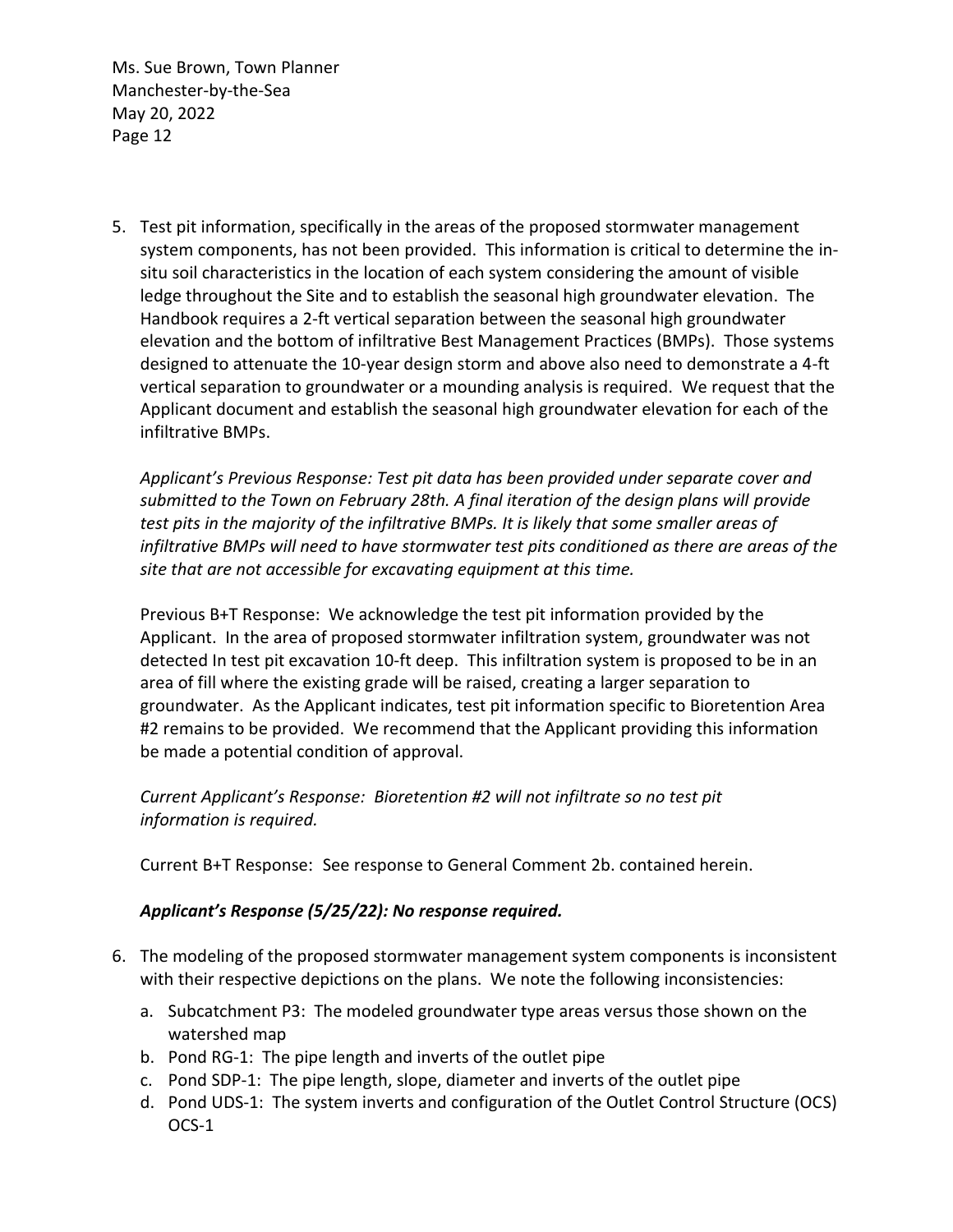5. Test pit information, specifically in the areas of the proposed stormwater management system components, has not been provided. This information is critical to determine the insitu soil characteristics in the location of each system considering the amount of visible ledge throughout the Site and to establish the seasonal high groundwater elevation. The Handbook requires a 2-ft vertical separation between the seasonal high groundwater elevation and the bottom of infiltrative Best Management Practices (BMPs). Those systems designed to attenuate the 10-year design storm and above also need to demonstrate a 4-ft vertical separation to groundwater or a mounding analysis is required. We request that the Applicant document and establish the seasonal high groundwater elevation for each of the infiltrative BMPs.

*Applicant's Previous Response: Test pit data has been provided under separate cover and submitted to the Town on February 28th. A final iteration of the design plans will provide test pits in the majority of the infiltrative BMPs. It is likely that some smaller areas of infiltrative BMPs will need to have stormwater test pits conditioned as there are areas of the site that are not accessible for excavating equipment at this time.*

Previous B+T Response: We acknowledge the test pit information provided by the Applicant. In the area of proposed stormwater infiltration system, groundwater was not detected In test pit excavation 10-ft deep. This infiltration system is proposed to be in an area of fill where the existing grade will be raised, creating a larger separation to groundwater. As the Applicant indicates, test pit information specific to Bioretention Area #2 remains to be provided. We recommend that the Applicant providing this information be made a potential condition of approval.

*Current Applicant's Response: Bioretention #2 will not infiltrate so no test pit information is required.*

Current B+T Response: See response to General Comment 2b. contained herein.

- 6. The modeling of the proposed stormwater management system components is inconsistent with their respective depictions on the plans. We note the following inconsistencies:
	- a. Subcatchment P3: The modeled groundwater type areas versus those shown on the watershed map
	- b. Pond RG-1: The pipe length and inverts of the outlet pipe
	- c. Pond SDP-1: The pipe length, slope, diameter and inverts of the outlet pipe
	- d. Pond UDS-1: The system inverts and configuration of the Outlet Control Structure (OCS) OCS-1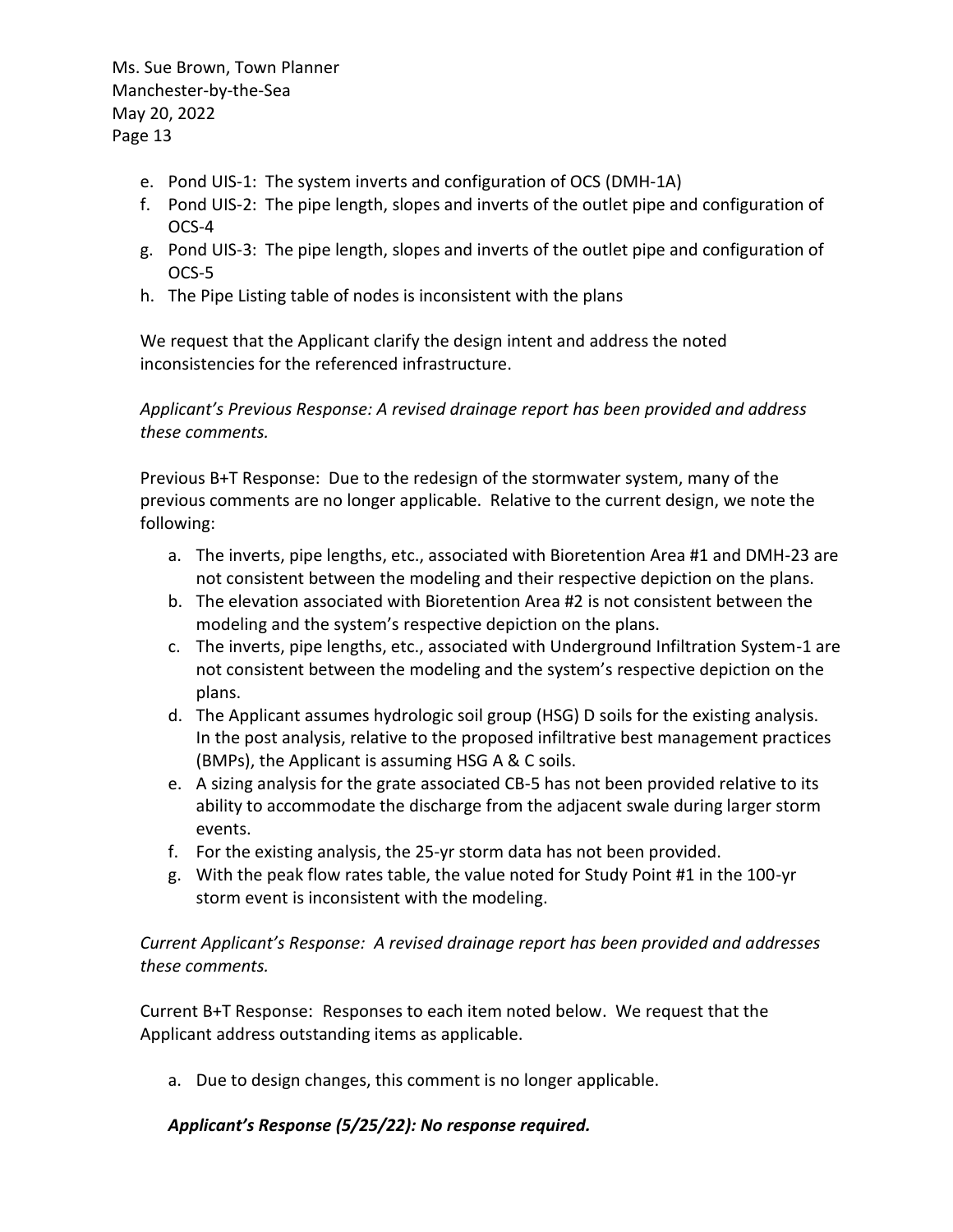- e. Pond UIS-1: The system inverts and configuration of OCS (DMH-1A)
- f. Pond UIS-2: The pipe length, slopes and inverts of the outlet pipe and configuration of OCS-4
- g. Pond UIS-3: The pipe length, slopes and inverts of the outlet pipe and configuration of OCS-5
- h. The Pipe Listing table of nodes is inconsistent with the plans

We request that the Applicant clarify the design intent and address the noted inconsistencies for the referenced infrastructure.

*Applicant's Previous Response: A revised drainage report has been provided and address these comments.*

Previous B+T Response: Due to the redesign of the stormwater system, many of the previous comments are no longer applicable. Relative to the current design, we note the following:

- a. The inverts, pipe lengths, etc., associated with Bioretention Area #1 and DMH-23 are not consistent between the modeling and their respective depiction on the plans.
- b. The elevation associated with Bioretention Area #2 is not consistent between the modeling and the system's respective depiction on the plans.
- c. The inverts, pipe lengths, etc., associated with Underground Infiltration System-1 are not consistent between the modeling and the system's respective depiction on the plans.
- d. The Applicant assumes hydrologic soil group (HSG) D soils for the existing analysis. In the post analysis, relative to the proposed infiltrative best management practices (BMPs), the Applicant is assuming HSG A & C soils.
- e. A sizing analysis for the grate associated CB-5 has not been provided relative to its ability to accommodate the discharge from the adjacent swale during larger storm events.
- f. For the existing analysis, the 25-yr storm data has not been provided.
- g. With the peak flow rates table, the value noted for Study Point #1 in the 100-yr storm event is inconsistent with the modeling.

*Current Applicant's Response: A revised drainage report has been provided and addresses these comments.*

Current B+T Response: Responses to each item noted below. We request that the Applicant address outstanding items as applicable.

a. Due to design changes, this comment is no longer applicable.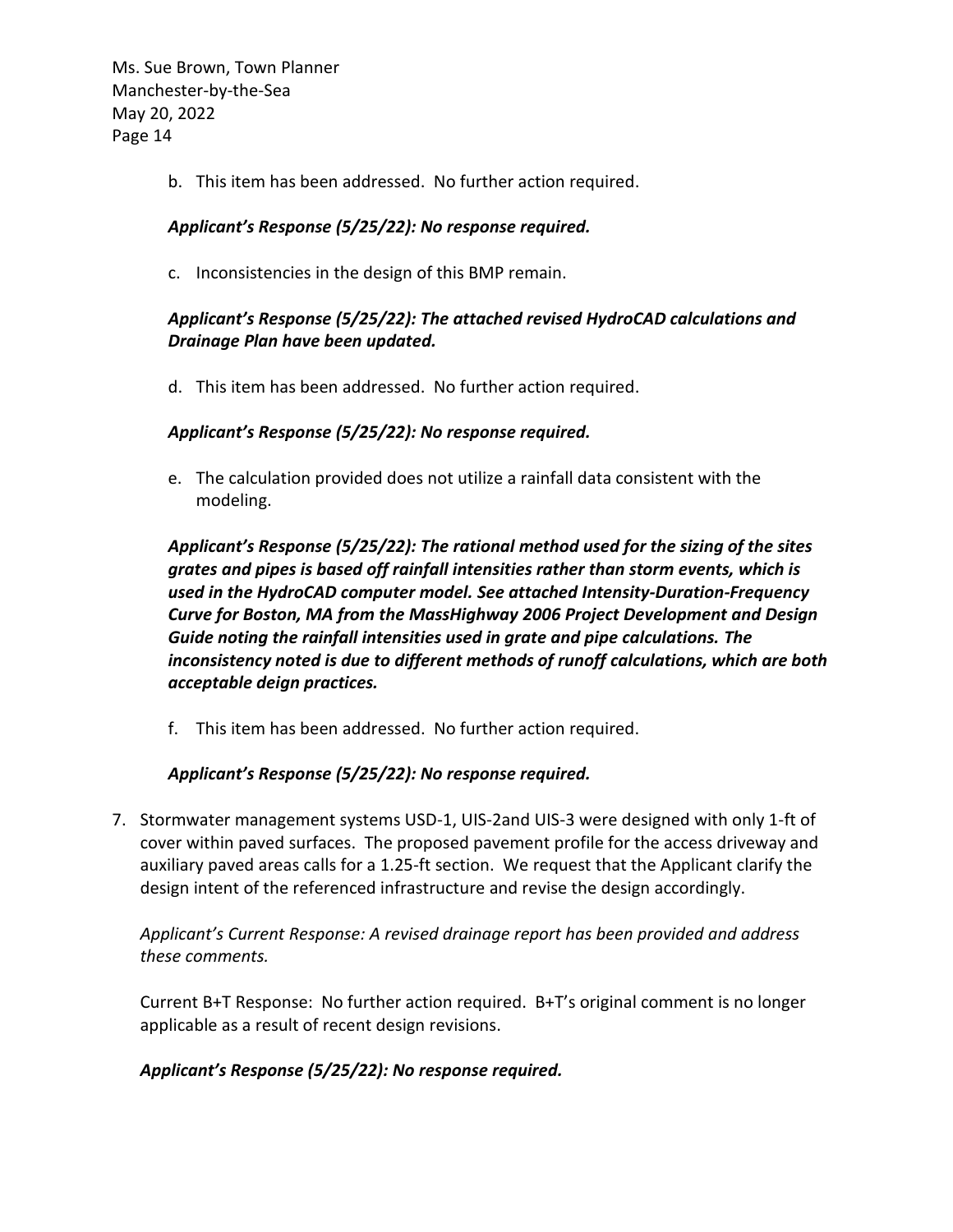b. This item has been addressed. No further action required.

## *Applicant's Response (5/25/22): No response required.*

c. Inconsistencies in the design of this BMP remain.

# *Applicant's Response (5/25/22): The attached revised HydroCAD calculations and Drainage Plan have been updated.*

d. This item has been addressed. No further action required.

## *Applicant's Response (5/25/22): No response required.*

e. The calculation provided does not utilize a rainfall data consistent with the modeling.

*Applicant's Response (5/25/22): The rational method used for the sizing of the sites grates and pipes is based off rainfall intensities rather than storm events, which is used in the HydroCAD computer model. See attached Intensity-Duration-Frequency Curve for Boston, MA from the MassHighway 2006 Project Development and Design Guide noting the rainfall intensities used in grate and pipe calculations. The inconsistency noted is due to different methods of runoff calculations, which are both acceptable deign practices.* 

f. This item has been addressed. No further action required.

## *Applicant's Response (5/25/22): No response required.*

7. Stormwater management systems USD-1, UIS-2and UIS-3 were designed with only 1-ft of cover within paved surfaces. The proposed pavement profile for the access driveway and auxiliary paved areas calls for a 1.25-ft section. We request that the Applicant clarify the design intent of the referenced infrastructure and revise the design accordingly.

*Applicant's Current Response: A revised drainage report has been provided and address these comments.*

Current B+T Response: No further action required. B+T's original comment is no longer applicable as a result of recent design revisions.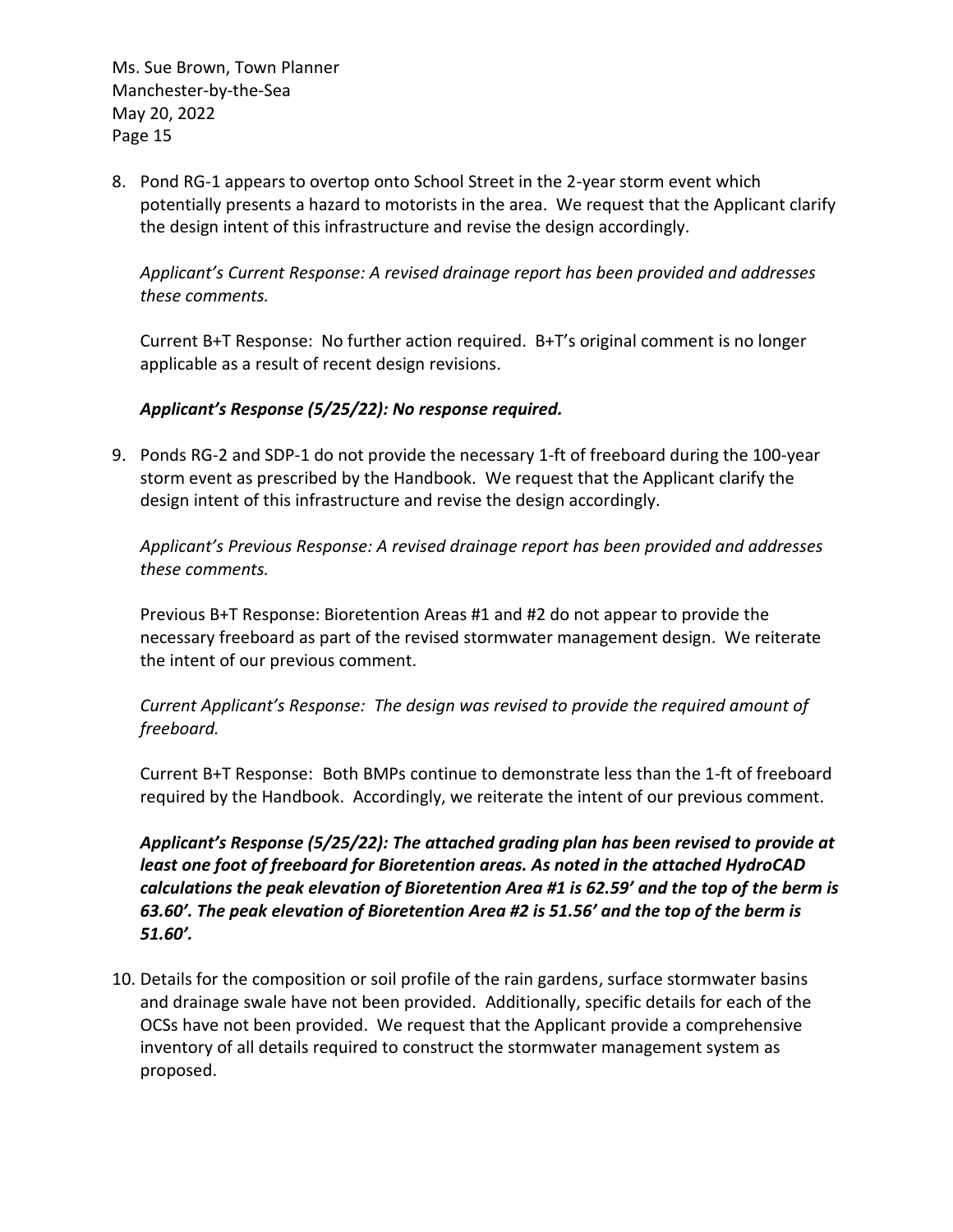8. Pond RG-1 appears to overtop onto School Street in the 2-year storm event which potentially presents a hazard to motorists in the area. We request that the Applicant clarify the design intent of this infrastructure and revise the design accordingly.

*Applicant's Current Response: A revised drainage report has been provided and addresses these comments.* 

Current B+T Response: No further action required. B+T's original comment is no longer applicable as a result of recent design revisions.

## *Applicant's Response (5/25/22): No response required.*

9. Ponds RG-2 and SDP-1 do not provide the necessary 1-ft of freeboard during the 100-year storm event as prescribed by the Handbook. We request that the Applicant clarify the design intent of this infrastructure and revise the design accordingly.

*Applicant's Previous Response: A revised drainage report has been provided and addresses these comments.*

Previous B+T Response: Bioretention Areas #1 and #2 do not appear to provide the necessary freeboard as part of the revised stormwater management design. We reiterate the intent of our previous comment.

*Current Applicant's Response: The design was revised to provide the required amount of freeboard.*

Current B+T Response: Both BMPs continue to demonstrate less than the 1-ft of freeboard required by the Handbook. Accordingly, we reiterate the intent of our previous comment.

*Applicant's Response (5/25/22): The attached grading plan has been revised to provide at least one foot of freeboard for Bioretention areas. As noted in the attached HydroCAD calculations the peak elevation of Bioretention Area #1 is 62.59' and the top of the berm is 63.60'. The peak elevation of Bioretention Area #2 is 51.56' and the top of the berm is 51.60'.*

10. Details for the composition or soil profile of the rain gardens, surface stormwater basins and drainage swale have not been provided. Additionally, specific details for each of the OCSs have not been provided. We request that the Applicant provide a comprehensive inventory of all details required to construct the stormwater management system as proposed.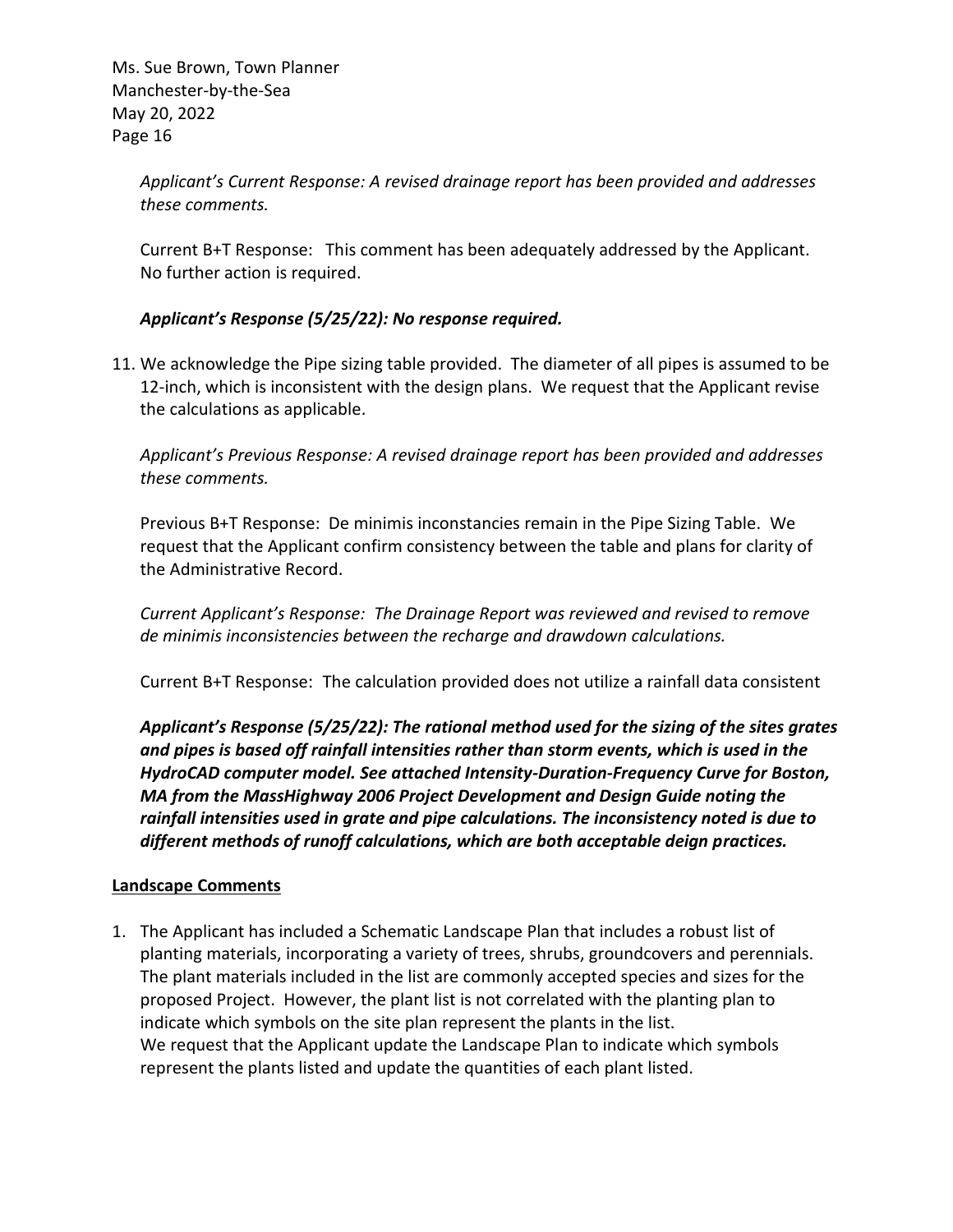> *Applicant's Current Response: A revised drainage report has been provided and addresses these comments.*

> Current B+T Response: This comment has been adequately addressed by the Applicant. No further action is required.

## *Applicant's Response (5/25/22): No response required.*

11. We acknowledge the Pipe sizing table provided. The diameter of all pipes is assumed to be 12-inch, which is inconsistent with the design plans. We request that the Applicant revise the calculations as applicable.

*Applicant's Previous Response: A revised drainage report has been provided and addresses these comments.*

Previous B+T Response: De minimis inconstancies remain in the Pipe Sizing Table. We request that the Applicant confirm consistency between the table and plans for clarity of the Administrative Record.

*Current Applicant's Response: The Drainage Report was reviewed and revised to remove de minimis inconsistencies between the recharge and drawdown calculations.*

Current B+T Response: The calculation provided does not utilize a rainfall data consistent

*Applicant's Response (5/25/22): The rational method used for the sizing of the sites grates and pipes is based off rainfall intensities rather than storm events, which is used in the HydroCAD computer model. See attached Intensity-Duration-Frequency Curve for Boston, MA from the MassHighway 2006 Project Development and Design Guide noting the rainfall intensities used in grate and pipe calculations. The inconsistency noted is due to different methods of runoff calculations, which are both acceptable deign practices.* 

## **Landscape Comments**

1. The Applicant has included a Schematic Landscape Plan that includes a robust list of planting materials, incorporating a variety of trees, shrubs, groundcovers and perennials. The plant materials included in the list are commonly accepted species and sizes for the proposed Project. However, the plant list is not correlated with the planting plan to indicate which symbols on the site plan represent the plants in the list. We request that the Applicant update the Landscape Plan to indicate which symbols represent the plants listed and update the quantities of each plant listed.